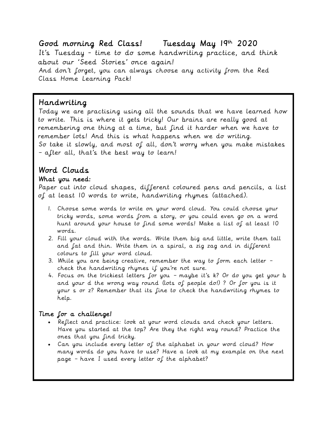Good morning Red Class! Tuesday May 19th 2020 It's Tuesday - time to do some handwriting practice, and think about our 'Seed Stories' once again! And don't forget, you can always choose any activity from the Red Class Home Learning Pack!

### Handwriting

Today we are practising using all the sounds that we have learned how to write. This is where it gets tricky! Our brains are really good at remembering one thing at a time, but find it harder when we have to remember lots! And this is what happens when we do writing. So take it slowly, and most of all, don't worry when you make mistakes – after all, that's the best way to learn!

# Word Clouds

#### What you need:

Paper cut into cloud shapes, different coloured pens and pencils, a list of at least 10 words to write, handwriting rhymes (attached).

- 1. Choose some words to write on your word cloud. You could choose your tricky words, some words from a story, or you could even go on a word hunt around your house to find some words! Make a list of at least 10 words.
- 2. Fill your cloud with the words. Write them big and little, write them tall and fat and thin. Write them in a spiral, a zig zag and in different colours to fill your word cloud.
- 3. While you are being creative, remember the way to form each letter check the handwriting rhymes if you're not sure.
- 4. Focus on the trickiest letters for you maybe it's k? Or do you get your b and your d the wrong way round (lots of people do!) ? Or for you is it your s or z? Remember that its fine to check the handwriting rhymes to help.

#### Time for a challenge!

- Reflect and practice: look at your word clouds and check your letters. Have you started at the top? Are they the right way round? Practice the ones that you find tricky.
- Can you include every letter of the alphabet in your word cloud? How many words do you have to use? Have a look at my example on the next page – have I used every letter of the alphabet?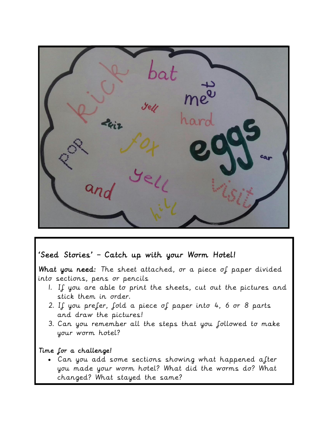## 'Seed Stories' – Catch up with your Worm Hotel!

What you need: The sheet attached, or a piece of paper divided into sections, pens or pencils

- 1. If you are able to print the sheets, cut out the pictures and stick them in order.
- 2. If you prefer, fold a piece of paper into 4, 6 or 8 parts and draw the pictures!
- 3. Can you remember all the steps that you followed to make your worm hotel?

#### Time for a challenge!

Ξ

 Can you add some sections showing what happened after you made your worm hotel? What did the worms do? What changed? What stayed the same?